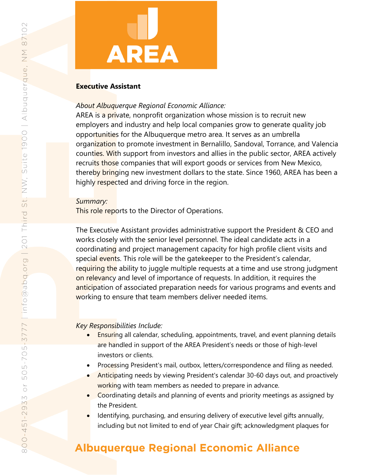# **AREA**

## **Executive Assistant**

## *About Albuquerque Regional Economic Alliance:*

AREA is a private, nonprofit organization whose mission is to recruit new employers and industry and help local companies grow to generate quality job opportunities for the Albuquerque metro area. It serves as an umbrella organization to promote investment in Bernalillo, Sandoval, Torrance, and Valencia counties. With support from investors and allies in the public sector, AREA actively recruits those companies that will export goods or services from New Mexico, thereby bringing new investment dollars to the state. Since 1960, AREA has been a highly respected and driving force in the region.

## *Summary:*

This role reports to the Director of Operations.

The Executive Assistant provides administrative support the President & CEO and works closely with the senior level personnel. The ideal candidate acts in a coordinating and project management capacity for high profile client visits and special events. This role will be the gatekeeper to the President's calendar, requiring the ability to juggle multiple requests at a time and use strong judgment on relevancy and level of importance of requests. In addition, it requires the anticipation of associated preparation needs for various programs and events and working to ensure that team members deliver needed items.

# *Key Responsibilities Include:*

- **Ensuring all calendar, scheduling, appointments, travel, and event planning details** are handled in support of the AREA President's needs or those of high-level investors or clients.
- Processing President's mail, outbox, letters/correspondence and filing as needed.
- Anticipating needs by viewing President's calendar 30-60 days out, and proactively working with team members as needed to prepare in advance.
- Coordinating details and planning of events and priority meetings as assigned by the President.
- Identifying, purchasing, and ensuring delivery of executive level gifts annually, including but not limited to end of year Chair gift; acknowledgment plaques for

# **Albuquerque Regional Economic Alliance**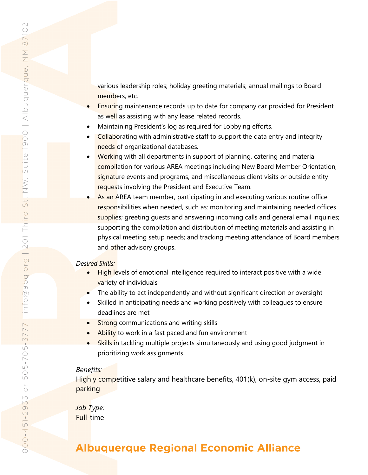various leadership roles; holiday greeting materials; annual mailings to Board members, etc.

- Ensuring maintenance records up to date for company car provided for President as well as assisting with any lease related records.
- Maintaining President's log as required for Lobbying efforts.
- Collaborating with administrative staff to support the data entry and integrity needs of organizational databases.
- Working with all departments in support of planning, catering and material compilation for various AREA meetings including New Board Member Orientation, signature events and programs, and miscellaneous client visits or outside entity requests involving the President and Executive Team.
- As an AREA team member, participating in and executing various routine office responsibilities when needed, such as: monitoring and maintaining needed offices supplies; greeting quests and answering incoming calls and general email inquiries; supporting the compilation and distribution of meeting materials and assisting in physical meeting setup needs; and tracking meeting attendance of Board members and other advisory groups.

#### *Desired Skills:*

- High levels of emotional intelligence required to interact positive with a wide variety of individuals
- The ability to act independently and without significant direction or oversight
- Skilled in anticipating needs and working positively with colleagues to ensure deadlines are met
- Strong communications and writing skills
- Ability to work in a fast paced and fun environment
- Skills in tackling multiple projects simultaneously and using good judgment in prioritizing work assignments

#### *Benefits:*

Highly competitive salary and healthcare benefits, 401(k), on-site gym access, paid parking

*Job Type:*  Full-time

# **Albuquerque Regional Economic Alliance**